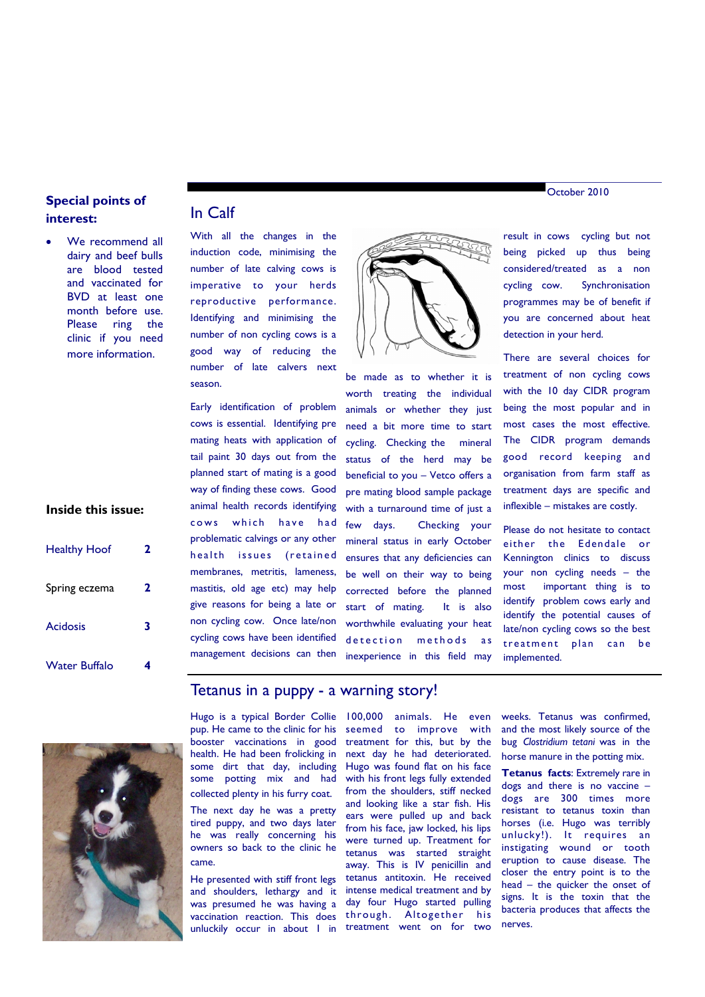# **Special points of interest:**

 We recommend all dairy and beef bulls are blood tested and vaccinated for BVD at least one month before use. Please ring the clinic if you need more information.

### **Inside this issue:**

| <b>Healthy Hoof</b>  | 2 |
|----------------------|---|
| Spring eczema        | 2 |
| <b>Acidosis</b>      | 3 |
| <b>Water Buffalo</b> |   |

## In Calf

With all the changes in the induction code, minimising the number of late calving cows is imperative to your herds reproductive performance. Identifying and minimising the number of non cycling cows is a good way of reducing the number of late calvers next season.

Early identification of problem cows is essential. Identifying pre mating heats with application of tail paint 30 days out from the planned start of mating is a good way of finding these cows. Good animal health records identifying cows which have had problematic calvings or any other health issues (retained membranes, metritis, lameness, mastitis, old age etc) may help give reasons for being a late or non cycling cow. Once late/non cycling cows have been identified management decisions can then



be made as to whether it is worth treating the individual animals or whether they just need a bit more time to start cycling. Checking the mineral status of the herd may be beneficial to you – Vetco offers a pre mating blood sample package with a turnaround time of just a few days. Checking your mineral status in early October ensures that any deficiencies can be well on their way to being corrected before the planned start of mating. It is also worthwhile evaluating your heat detection methods as inexperience in this field may

result in cows cycling but not being picked up thus being considered/treated as a non cycling cow. Synchronisation programmes may be of benefit if you are concerned about heat

detection in your herd.

There are several choices for treatment of non cycling cows with the 10 day CIDR program being the most popular and in most cases the most effective. The CIDR program demands good record keeping and organisation from farm staff as treatment days are specific and inflexible – mistakes are costly.

Please do not hesitate to contact either the Edendale or Kennington clinics to discuss your non cycling needs – the most important thing is to identify problem cows early and identify the potential causes of late/non cycling cows so the best treatment plan can be implemented.



## Tetanus in a puppy - a warning story!

Hugo is a typical Border Collie pup. He came to the clinic for his booster vaccinations in good health. He had been frolicking in some dirt that day, including some potting mix and had collected plenty in his furry coat.

The next day he was a pretty tired puppy, and two days later he was really concerning his owners so back to the clinic he came.

He presented with stiff front legs and shoulders, lethargy and it was presumed he was having a vaccination reaction. This does unluckily occur in about 1 in treatment went on for two

100,000 animals. He even seemed to improve with treatment for this, but by the next day he had deteriorated. Hugo was found flat on his face with his front legs fully extended from the shoulders, stiff necked and looking like a star fish. His ears were pulled up and back from his face, jaw locked, his lips were turned up. Treatment for tetanus was started straight away. This is IV penicillin and tetanus antitoxin. He received intense medical treatment and by day four Hugo started pulling through. Altogether his

weeks. Tetanus was confirmed, and the most likely source of the bug *Clostridium tetani* was in the horse manure in the potting mix.

**Tetanus facts**: Extremely rare in dogs and there is no vaccine – dogs are 300 times more resistant to tetanus toxin than horses (i.e. Hugo was terribly unlucky!). It requires an instigating wound or tooth eruption to cause disease. The closer the entry point is to the head – the quicker the onset of signs. It is the toxin that the bacteria produces that affects the nerves.

October 2010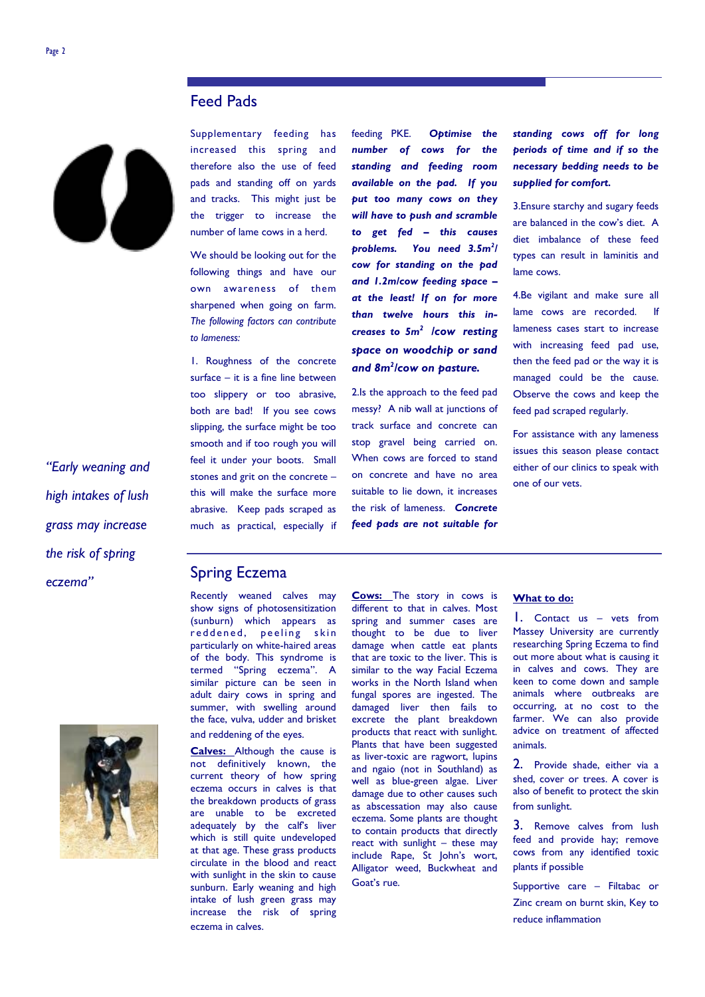# Feed Pads



*"Early weaning and high intakes of lush grass may increase the risk of spring eczema"*



Supplementary feeding has increased this spring and therefore also the use of feed pads and standing off on yards and tracks. This might just be the trigger to increase the number of lame cows in a herd.

We should be looking out for the following things and have our own awareness of them sharpened when going on farm. *The following factors can contribute to lameness:*

1. Roughness of the concrete surface – it is a fine line between too slippery or too abrasive, both are bad! If you see cows slipping, the surface might be too smooth and if too rough you will feel it under your boots. Small stones and grit on the concrete – this will make the surface more abrasive. Keep pads scraped as much as practical, especially if feeding PKE. *Optimise the number of cows for the standing and feeding room available on the pad. If you put too many cows on they will have to push and scramble to get fed – this causes problems. You need 3.5m<sup>2</sup> / cow for standing on the pad and 1.2m/cow feeding space – at the least! If on for more than twelve hours this increases to 5m<sup>2</sup> /cow resting space on woodchip or sand*  and 8m<sup>2</sup>/cow on pasture.

2.Is the approach to the feed pad messy? A nib wall at junctions of track surface and concrete can stop gravel being carried on. When cows are forced to stand on concrete and have no area suitable to lie down, it increases the risk of lameness. *Concrete feed pads are not suitable for* 

*standing cows off for long periods of time and if so the necessary bedding needs to be supplied for comfort.*

3.Ensure starchy and sugary feeds are balanced in the cow's diet. A diet imbalance of these feed types can result in laminitis and lame cows.

4.Be vigilant and make sure all lame cows are recorded. If lameness cases start to increase with increasing feed pad use, then the feed pad or the way it is managed could be the cause. Observe the cows and keep the feed pad scraped regularly.

For assistance with any lameness issues this season please contact either of our clinics to speak with one of our vets.

# Spring Eczema

Recently weaned calves may show signs of photosensitization (sunburn) which appears as reddened, peeling skin particularly on white-haired areas of the body. This syndrome is termed "Spring eczema". A similar picture can be seen in adult dairy cows in spring and summer, with swelling around the face, vulva, udder and brisket and reddening of the eyes.

**Calves:** Although the cause is not definitively known, the current theory of how spring eczema occurs in calves is that the breakdown products of grass are unable to be excreted adequately by the calf's liver which is still quite undeveloped at that age. These grass products circulate in the blood and react with sunlight in the skin to cause sunburn. Early weaning and high intake of lush green grass may increase the risk of spring eczema in calves.

#### **Cows:** The story in cows is different to that in calves. Most spring and summer cases are thought to be due to liver damage when cattle eat plants that are toxic to the liver. This is similar to the way Facial Eczema works in the North Island when fungal spores are ingested. The damaged liver then fails to excrete the plant breakdown products that react with sunlight. Plants that have been suggested as liver-toxic are ragwort, lupins and ngaio (not in Southland) as well as blue-green algae. Liver damage due to other causes such as abscessation may also cause eczema. Some plants are thought to contain products that directly react with sunlight – these may include Rape, St John's wort, Alligator weed, Buckwheat and Goat's rue.

### **What to do:**

1. Contact us – vets from Massey University are currently researching Spring Eczema to find out more about what is causing it in calves and cows. They are keen to come down and sample animals where outbreaks are occurring, at no cost to the farmer. We can also provide advice on treatment of affected animals.

2. Provide shade, either via a shed, cover or trees. A cover is also of benefit to protect the skin from sunlight.

3. Remove calves from lush feed and provide hay; remove cows from any identified toxic plants if possible

Supportive care – Filtabac or Zinc cream on burnt skin, Key to reduce inflammation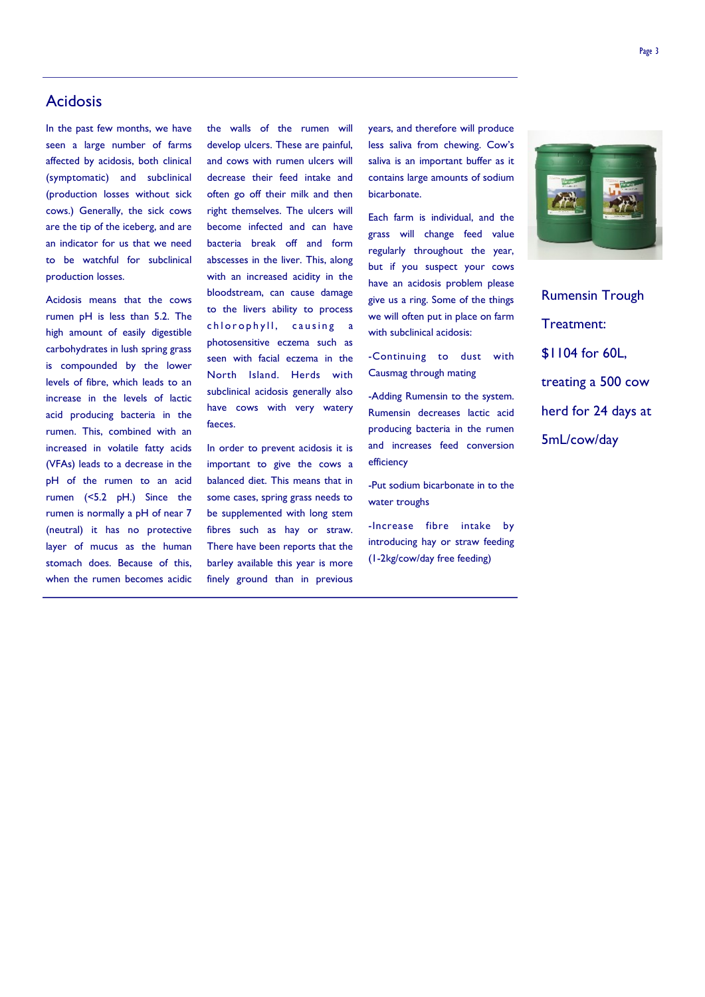# Acidosis

In the past few months, we have seen a large number of farms affected by acidosis, both clinical (symptomatic) and subclinical (production losses without sick cows.) Generally, the sick cows are the tip of the iceberg, and are an indicator for us that we need to be watchful for subclinical production losses.

Acidosis means that the cows rumen pH is less than 5.2. The high amount of easily digestible carbohydrates in lush spring grass is compounded by the lower levels of fibre, which leads to an increase in the levels of lactic acid producing bacteria in the rumen. This, combined with an increased in volatile fatty acids (VFAs) leads to a decrease in the pH of the rumen to an acid rumen (<5.2 pH.) Since the rumen is normally a pH of near 7 (neutral) it has no protective layer of mucus as the human stomach does. Because of this, when the rumen becomes acidic

the walls of the rumen will develop ulcers. These are painful, and cows with rumen ulcers will decrease their feed intake and often go off their milk and then right themselves. The ulcers will become infected and can have bacteria break off and form abscesses in the liver. This, along with an increased acidity in the bloodstream, can cause damage to the livers ability to process chlorophyll, causing a photosensitive eczema such as seen with facial eczema in the North Island. Herds with subclinical acidosis generally also have cows with very watery faeces.

In order to prevent acidosis it is important to give the cows a balanced diet. This means that in some cases, spring grass needs to be supplemented with long stem fibres such as hay or straw. There have been reports that the barley available this year is more finely ground than in previous

years, and therefore will produce less saliva from chewing. Cow's saliva is an important buffer as it contains large amounts of sodium bicarbonate.

Each farm is individual, and the grass will change feed value regularly throughout the year, but if you suspect your cows have an acidosis problem please give us a ring. Some of the things we will often put in place on farm with subclinical acidosis:

-Continuing to dust with Causmag through mating

-Adding Rumensin to the system. Rumensin decreases lactic acid producing bacteria in the rumen and increases feed conversion efficiency

-Put sodium bicarbonate in to the water troughs

-Increase fibre intake by introducing hay or straw feeding (1-2kg/cow/day free feeding)



Rumensin Trough Treatment: \$1104 for 60L, treating a 500 cow herd for 24 days at 5mL/cow/day